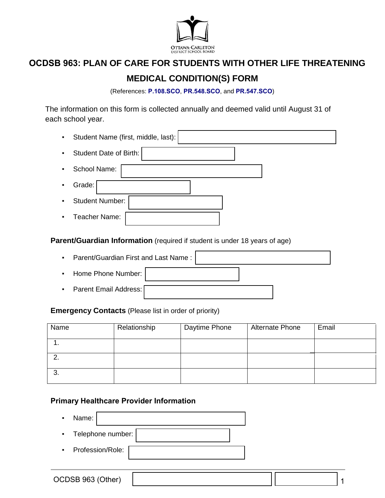

# **OCDSB 963: PLAN OF CARE FOR STUDENTS WITH OTHER LIFE THREATENING**

# **MEDICAL CONDITION(S) FORM**

(References: **[P.108.SCO](https://weblink.ocdsb.ca/WebLink/0/edoc/2977064/P%20108%20SCO%20-%20Care%20of%20Students%20with%20Severe,%20Life-threatening%20Medical%20Conditions.pdf)**, **[PR.548.SCO](https://weblink.ocdsb.ca/WebLink/0/edoc/2975376/PR%20547%20SCO%20-%20Providing%20Emergency%20Medical%20Care%20for%20Students.pdf)**, and **[PR.547.SCO](https://weblink.ocdsb.ca/WebLink/0/edoc/2969842/PR%20548%20SCO%20-%20Severe,%20Life%20Threatening%20Medical%20Conditions%20FINAL.pdf)**)

The information on this form is collected annually and deemed valid until August 31 of each school year.

| ٠ | Student Name (first, middle, last): |
|---|-------------------------------------|
| ٠ | <b>Student Date of Birth:</b>       |
| ٠ | School Name:                        |
| ٠ | Grade:                              |
| ٠ | <b>Student Number:</b>              |
|   | Teacher Name:                       |

**Parent/Guardian Information** (required if student is under 18 years of age)

▪ Parent/Guardian First and Last Name : ▪ Home Phone Number: ▪ Parent Email Address:

### **Emergency Contacts** (Please list in order of priority)

| Name | Relationship | Daytime Phone | <b>Alternate Phone</b> | Email |
|------|--------------|---------------|------------------------|-------|
|      |              |               |                        |       |
|      |              |               |                        |       |
| J.   |              |               |                        |       |

### **Primary Healthcare Provider Information**

| Name:              |                   |  |
|--------------------|-------------------|--|
|                    | Telephone number: |  |
| • Profession/Role: |                   |  |

1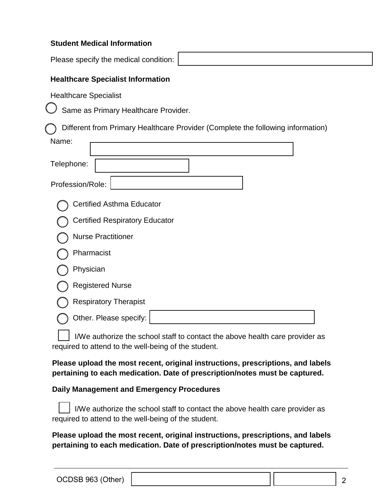#### **Student Medical Information**

Please specify the medical condition:

### **Healthcare Specialist Information**

Healthcare Specialist

Same as Primary Healthcare Provider.

Different from Primary Healthcare Provider (Complete the following information)

| Name:                                 |
|---------------------------------------|
| Telephone:                            |
| Profession/Role:                      |
| <b>Certified Asthma Educator</b>      |
| <b>Certified Respiratory Educator</b> |
| <b>Nurse Practitioner</b>             |
| Pharmacist                            |
| Physician                             |
| <b>Registered Nurse</b>               |
| <b>Respiratory Therapist</b>          |
| Other. Please specify:                |
|                                       |

 $\vert \vert$  I/We authorize the school staff to contact the above health care provider as required to attend to the well-being of the student.

**Please upload the most recent, original instructions, prescriptions, and labels pertaining to each medication. Date of prescription/notes must be captured.**

#### **Daily Management and Emergency Procedures**

I/We authorize the school staff to contact the above health care provider as required to attend to the well-being of the student.

**Please upload the most recent, original instructions, prescriptions, and labels pertaining to each medication. Date of prescription/notes must be captured.**

2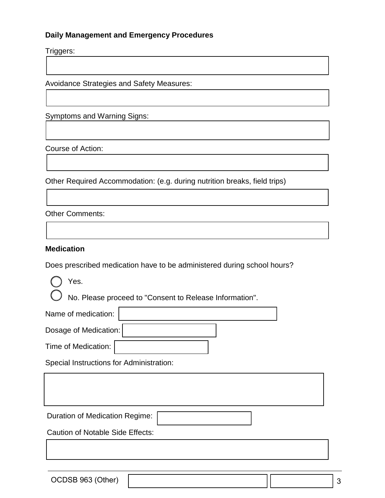#### **Daily Management and Emergency Procedures**

Triggers:

Avoidance Strategies and Safety Measures:

Symptoms and Warning Signs:

Course of Action:

Other Required Accommodation: (e.g. during nutrition breaks, field trips)

Other Comments:

#### **Medication**

Does prescribed medication have to be administered during school hours?

Yes.

No. Please proceed to "Consent to Release Information".

| Name of medication:                      |  |  |  |  |  |
|------------------------------------------|--|--|--|--|--|
| Dosage of Medication:                    |  |  |  |  |  |
| Time of Medication:                      |  |  |  |  |  |
| Special Instructions for Administration: |  |  |  |  |  |
|                                          |  |  |  |  |  |
|                                          |  |  |  |  |  |
| <b>Duration of Medication Regime:</b>    |  |  |  |  |  |
| <b>Caution of Notable Side Effects:</b>  |  |  |  |  |  |
|                                          |  |  |  |  |  |
|                                          |  |  |  |  |  |

OCDSB 963 (Other)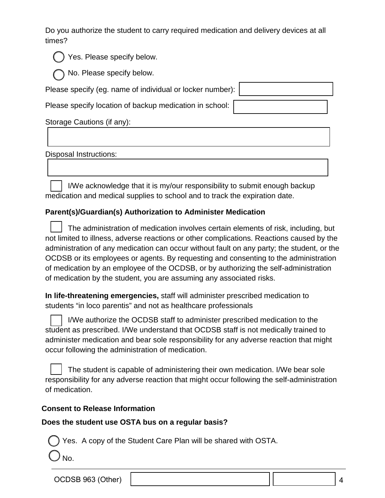Do you authorize the student to carry required medication and delivery devices at all times?

| Yes. Please specify below. |
|----------------------------|
|                            |

) No. Please specify below.

Please specify (eg. name of individual or locker number):

Please specify location of backup medication in school:

Storage Cautions (if any):

Disposal Instructions:

I/We acknowledge that it is my/our responsibility to submit enough backup medication and medical supplies to school and to track the expiration date.

# **Parent(s)/Guardian(s) Authorization to Administer Medication**

The administration of medication involves certain elements of risk, including, but not limited to illness, adverse reactions or other complications. Reactions caused by the administration of any medication can occur without fault on any party; the student, or the OCDSB or its employees or agents. By requesting and consenting to the administration of medication by an employee of the OCDSB, or by authorizing the self-administration of medication by the student, you are assuming any associated risks.

**In life-threatening emergencies,** staff will administer prescribed medication to students "in loco parentis" and not as healthcare professionals

I/We authorize the OCDSB staff to administer prescribed medication to the student as prescribed. I/We understand that OCDSB staff is not medically trained to administer medication and bear sole responsibility for any adverse reaction that might occur following the administration of medication.

The student is capable of administering their own medication. I/We bear sole responsibility for any adverse reaction that might occur following the self-administration of medication.

## **Consent to Release Information**

## **Does the student use OSTA bus on a regular basis?**

Yes. A copy of the Student Care Plan will be shared with OSTA.

No.